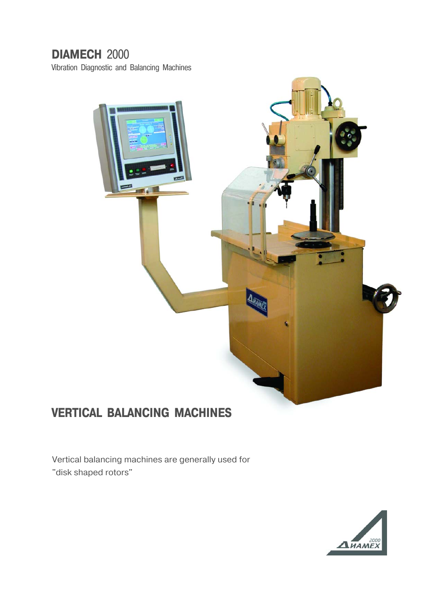## **DIAMECH** 2000

Vibration Diagnostic and Balancing Machines



## **VERTICAL BALANCING MACHINES**

Vertical balancing machines are generally used for "disk shaped rotors"